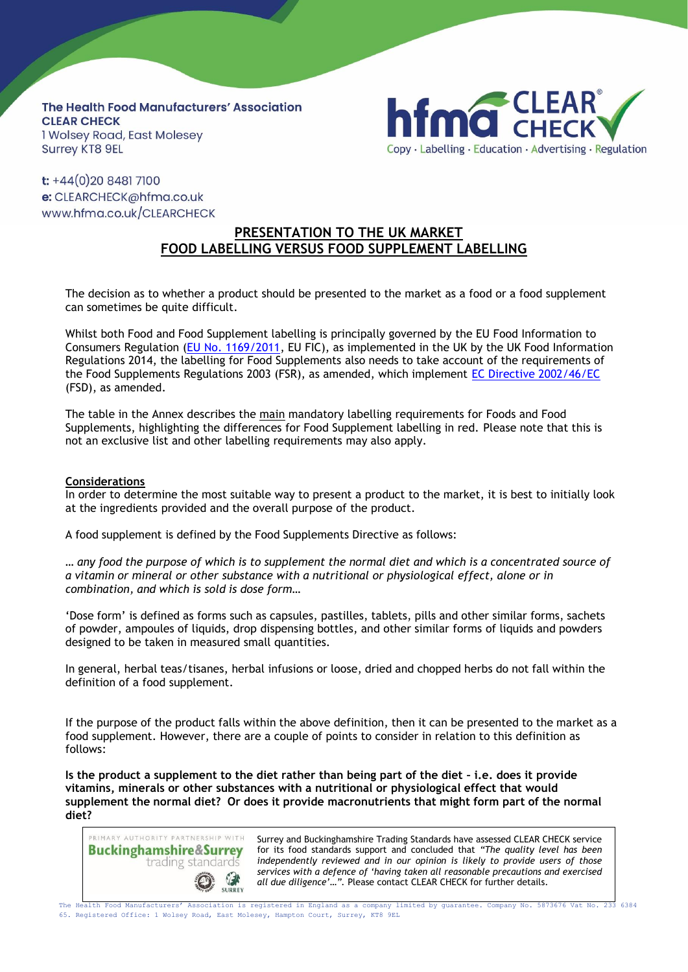**The Health Food Manufacturers' Association CLEAR CHECK** 1 Wolsey Road, East Molesey **Surrey KT8 9EL** 



 $t$ : +44(0)20 8481 7100 e: CLEARCHECK@hfma.co.uk www.hfma.co.uk/CLEARCHECK

# **PRESENTATION TO THE UK MARKET FOOD LABELLING VERSUS FOOD SUPPLEMENT LABELLING**

The decision as to whether a product should be presented to the market as a food or a food supplement can sometimes be quite difficult.

Whilst both Food and Food Supplement labelling is principally governed by the EU Food Information to Consumers Regulation [\(EU No. 1169/2011,](http://ec.europa.eu/food/safety/labelling_nutrition/labelling_legislation/index_en.htm) EU FIC), as implemented in the UK by the UK Food Information Regulations 2014, the labelling for Food Supplements also needs to take account of the requirements of the Food Supplements Regulations 2003 (FSR), as amended, which implement [EC Directive 2002/46/EC](http://ec.europa.eu/food/safety/labelling_nutrition/supplements/index_en.htm) (FSD), as amended.

The table in the Annex describes the main mandatory labelling requirements for Foods and Food Supplements, highlighting the differences for Food Supplement labelling in red. Please note that this is not an exclusive list and other labelling requirements may also apply.

### **Considerations**

In order to determine the most suitable way to present a product to the market, it is best to initially look at the ingredients provided and the overall purpose of the product.

A food supplement is defined by the Food Supplements Directive as follows:

... any food the purpose of which is to supplement the normal diet and which is a concentrated source of *a vitamin or mineral or other substance with a nutritional or physiological effect, alone or in combination, and which is sold is dose form…*

'Dose form' is defined as forms such as capsules, pastilles, tablets, pills and other similar forms, sachets of powder, ampoules of liquids, drop dispensing bottles, and other similar forms of liquids and powders designed to be taken in measured small quantities.

In general, herbal teas/tisanes, herbal infusions or loose, dried and chopped herbs do not fall within the definition of a food supplement.

If the purpose of the product falls within the above definition, then it can be presented to the market as a food supplement. However, there are a couple of points to consider in relation to this definition as follows:

**Is the product a supplement to the diet rather than being part of the diet – i.e. does it provide vitamins, minerals or other substances with a nutritional or physiological effect that would supplement the normal diet? Or does it provide macronutrients that might form part of the normal diet?**



Surrey and Buckinghamshire Trading Standards have assessed CLEAR CHECK service for its food standards support and concluded that *"The quality level has been independently reviewed and in our opinion is likely to provide users of those services with a defence of 'having taken all reasonable precautions and exercised all due diligence'…".* Please contact CLEAR CHECK for further details.

The Health Food Manufacturers' Association is registered in England as a company limited by guarantee. Company No. 5873676 Vat No. 233 6384 65. Registered Office: 1 Wolsey Road, East Molesey, Hampton Court, Surrey, KT8 9EL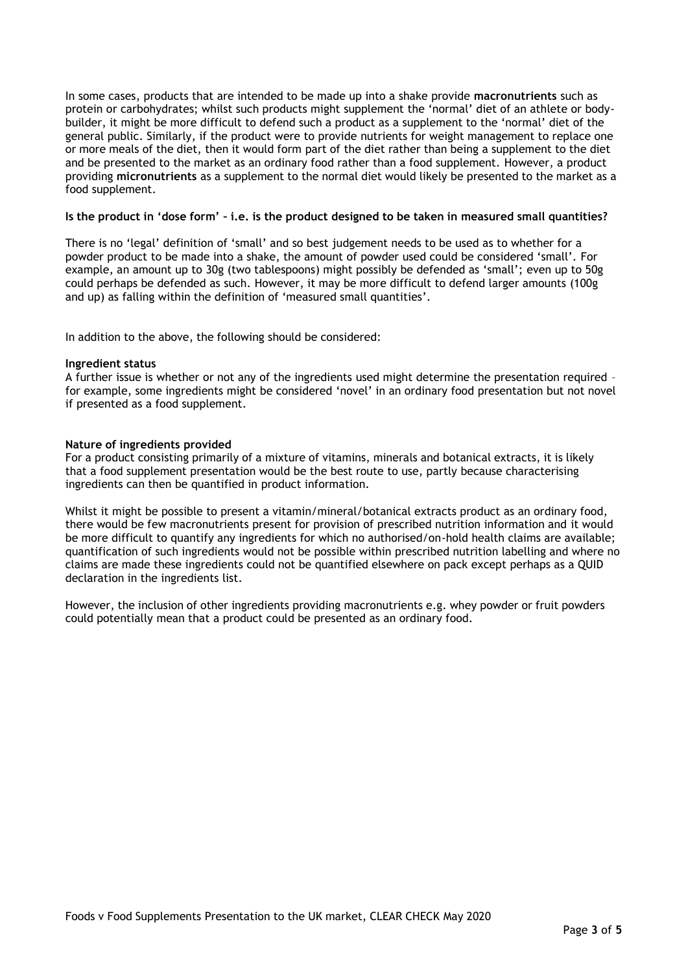In some cases, products that are intended to be made up into a shake provide **macronutrients** such as protein or carbohydrates; whilst such products might supplement the 'normal' diet of an athlete or bodybuilder, it might be more difficult to defend such a product as a supplement to the 'normal' diet of the general public. Similarly, if the product were to provide nutrients for weight management to replace one or more meals of the diet, then it would form part of the diet rather than being a supplement to the diet and be presented to the market as an ordinary food rather than a food supplement. However, a product providing **micronutrients** as a supplement to the normal diet would likely be presented to the market as a food supplement.

#### Is the product in 'dose form' - i.e. is the product designed to be taken in measured small quantities?

There is no 'legal' definition of 'small' and so best judgement needs to be used as to whether for a powder product to be made into a shake, the amount of powder used could be considered 'small'. For example, an amount up to 30g (two tablespoons) might possibly be defended as 'small'; even up to 50g could perhaps be defended as such. However, it may be more difficult to defend larger amounts (100g and up) as falling within the definition of 'measured small quantities'.

In addition to the above, the following should be considered:

#### **Ingredient status**

A further issue is whether or not any of the ingredients used might determine the presentation required for example, some ingredients might be considered 'novel' in an ordinary food presentation but not novel if presented as a food supplement.

#### **Nature of ingredients provided**

For a product consisting primarily of a mixture of vitamins, minerals and botanical extracts, it is likely that a food supplement presentation would be the best route to use, partly because characterising ingredients can then be quantified in product information.

Whilst it might be possible to present a vitamin/mineral/botanical extracts product as an ordinary food, there would be few macronutrients present for provision of prescribed nutrition information and it would be more difficult to quantify any ingredients for which no authorised/on-hold health claims are available; quantification of such ingredients would not be possible within prescribed nutrition labelling and where no claims are made these ingredients could not be quantified elsewhere on pack except perhaps as a QUID declaration in the ingredients list.

However, the inclusion of other ingredients providing macronutrients e.g. whey powder or fruit powders could potentially mean that a product could be presented as an ordinary food.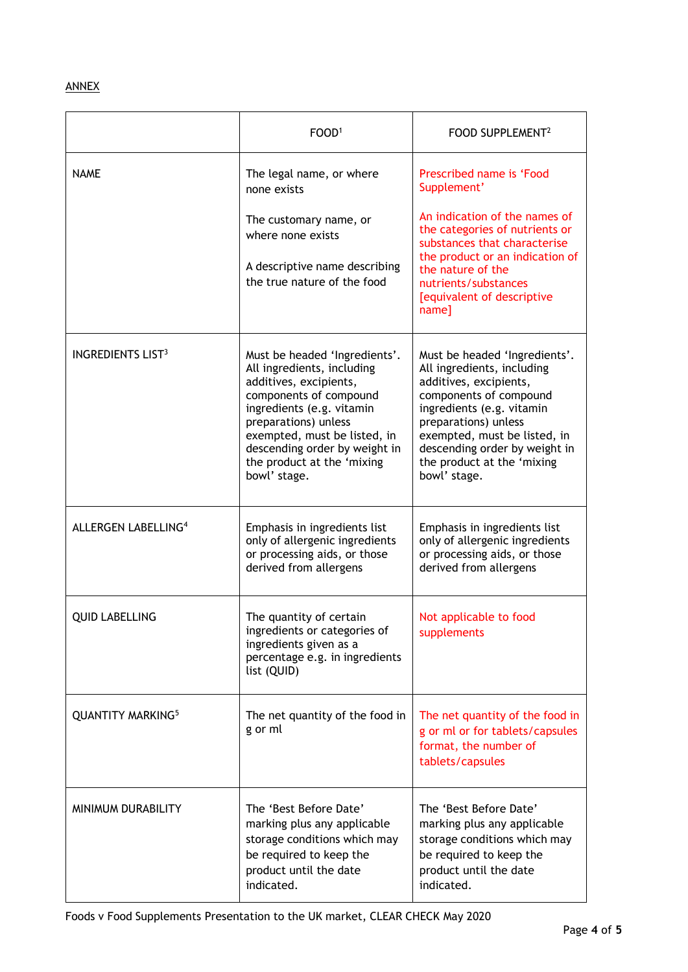## ANNEX

|                                     | FOOD <sup>1</sup>                                                                                                                                                                                                                                                                   | FOOD SUPPLEMENT <sup>2</sup>                                                                                                                                                                                                                                                        |
|-------------------------------------|-------------------------------------------------------------------------------------------------------------------------------------------------------------------------------------------------------------------------------------------------------------------------------------|-------------------------------------------------------------------------------------------------------------------------------------------------------------------------------------------------------------------------------------------------------------------------------------|
| <b>NAME</b>                         | The legal name, or where<br>none exists<br>The customary name, or                                                                                                                                                                                                                   | Prescribed name is 'Food<br>Supplement'<br>An indication of the names of                                                                                                                                                                                                            |
|                                     | where none exists<br>A descriptive name describing<br>the true nature of the food                                                                                                                                                                                                   | the categories of nutrients or<br>substances that characterise<br>the product or an indication of<br>the nature of the<br>nutrients/substances<br>[equivalent of descriptive<br>name]                                                                                               |
| <b>INGREDIENTS LIST<sup>3</sup></b> | Must be headed 'Ingredients'.<br>All ingredients, including<br>additives, excipients,<br>components of compound<br>ingredients (e.g. vitamin<br>preparations) unless<br>exempted, must be listed, in<br>descending order by weight in<br>the product at the 'mixing<br>bowl' stage. | Must be headed 'Ingredients'.<br>All ingredients, including<br>additives, excipients,<br>components of compound<br>ingredients (e.g. vitamin<br>preparations) unless<br>exempted, must be listed, in<br>descending order by weight in<br>the product at the 'mixing<br>bowl' stage. |
| <b>ALLERGEN LABELLING4</b>          | Emphasis in ingredients list<br>only of allergenic ingredients<br>or processing aids, or those<br>derived from allergens                                                                                                                                                            | Emphasis in ingredients list<br>only of allergenic ingredients<br>or processing aids, or those<br>derived from allergens                                                                                                                                                            |
| <b>QUID LABELLING</b>               | The quantity of certain<br>ingredients or categories of<br>ingredients given as a<br>percentage e.g. in ingredients<br>list (QUID)                                                                                                                                                  | Not applicable to food<br>supplements                                                                                                                                                                                                                                               |
| <b>QUANTITY MARKING5</b>            | The net quantity of the food in<br>g or ml                                                                                                                                                                                                                                          | The net quantity of the food in<br>g or ml or for tablets/capsules<br>format, the number of<br>tablets/capsules                                                                                                                                                                     |
| MINIMUM DURABILITY                  | The 'Best Before Date'<br>marking plus any applicable<br>storage conditions which may<br>be required to keep the<br>product until the date<br>indicated.                                                                                                                            | The 'Best Before Date'<br>marking plus any applicable<br>storage conditions which may<br>be required to keep the<br>product until the date<br>indicated.                                                                                                                            |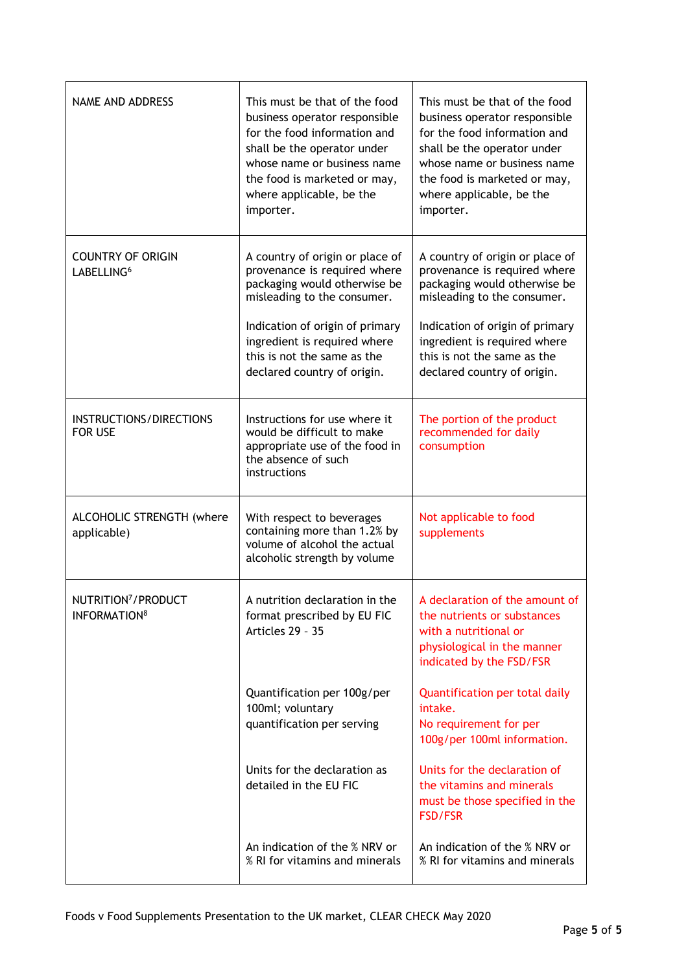| <b>NAME AND ADDRESS</b>                                     | This must be that of the food<br>business operator responsible<br>for the food information and<br>shall be the operator under<br>whose name or business name<br>the food is marketed or may,<br>where applicable, be the<br>importer.                           | This must be that of the food<br>business operator responsible<br>for the food information and<br>shall be the operator under<br>whose name or business name<br>the food is marketed or may,<br>where applicable, be the<br>importer.                           |
|-------------------------------------------------------------|-----------------------------------------------------------------------------------------------------------------------------------------------------------------------------------------------------------------------------------------------------------------|-----------------------------------------------------------------------------------------------------------------------------------------------------------------------------------------------------------------------------------------------------------------|
| <b>COUNTRY OF ORIGIN</b><br>LABELLING <sup>6</sup>          | A country of origin or place of<br>provenance is required where<br>packaging would otherwise be<br>misleading to the consumer.<br>Indication of origin of primary<br>ingredient is required where<br>this is not the same as the<br>declared country of origin. | A country of origin or place of<br>provenance is required where<br>packaging would otherwise be<br>misleading to the consumer.<br>Indication of origin of primary<br>ingredient is required where<br>this is not the same as the<br>declared country of origin. |
| INSTRUCTIONS/DIRECTIONS<br><b>FOR USE</b>                   | Instructions for use where it<br>would be difficult to make<br>appropriate use of the food in<br>the absence of such<br>instructions                                                                                                                            | The portion of the product<br>recommended for daily<br>consumption                                                                                                                                                                                              |
| ALCOHOLIC STRENGTH (where<br>applicable)                    | With respect to beverages<br>containing more than 1.2% by<br>volume of alcohol the actual<br>alcoholic strength by volume                                                                                                                                       | Not applicable to food<br>supplements                                                                                                                                                                                                                           |
| NUTRITION <sup>7</sup> /PRODUCT<br>INFORMATION <sup>8</sup> | A nutrition declaration in the<br>format prescribed by EU FIC<br>Articles 29 - 35                                                                                                                                                                               | A declaration of the amount of<br>the nutrients or substances<br>with a nutritional or<br>physiological in the manner<br>indicated by the FSD/FSR                                                                                                               |
|                                                             | Quantification per 100g/per<br>100ml; voluntary<br>quantification per serving                                                                                                                                                                                   | Quantification per total daily<br>intake.<br>No requirement for per<br>100g/per 100ml information.                                                                                                                                                              |
|                                                             | Units for the declaration as<br>detailed in the EU FIC                                                                                                                                                                                                          | Units for the declaration of<br>the vitamins and minerals<br>must be those specified in the<br><b>FSD/FSR</b>                                                                                                                                                   |
|                                                             | An indication of the % NRV or<br>% RI for vitamins and minerals                                                                                                                                                                                                 | An indication of the % NRV or<br>% RI for vitamins and minerals                                                                                                                                                                                                 |